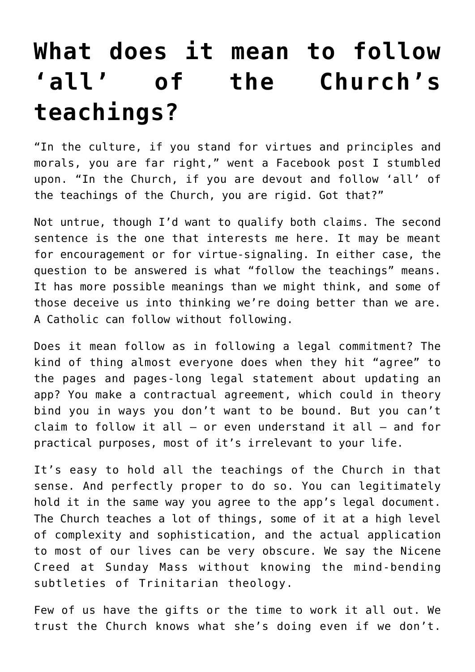## **[What does it mean to follow](https://www.osvnews.com/2022/06/17/what-does-it-mean-to-follow-all-of-the-churchs-teachings/) ['all' of the Church's](https://www.osvnews.com/2022/06/17/what-does-it-mean-to-follow-all-of-the-churchs-teachings/) [teachings?](https://www.osvnews.com/2022/06/17/what-does-it-mean-to-follow-all-of-the-churchs-teachings/)**

"In the culture, if you stand for virtues and principles and morals, you are far right," went a Facebook post I stumbled upon. "In the Church, if you are devout and follow 'all' of the teachings of the Church, you are rigid. Got that?"

Not untrue, though I'd want to qualify both claims. The second sentence is the one that interests me here. It may be meant for encouragement or for virtue-signaling. In either case, the question to be answered is what "follow the teachings" means. It has more possible meanings than we might think, and some of those deceive us into thinking we're doing better than we are. A Catholic can follow without following.

Does it mean follow as in following a legal commitment? The kind of thing almost everyone does when they hit "agree" to the pages and pages-long legal statement about updating an app? You make a contractual agreement, which could in theory bind you in ways you don't want to be bound. But you can't claim to follow it all — or even understand it all — and for practical purposes, most of it's irrelevant to your life.

It's easy to hold all the teachings of the Church in that sense. And perfectly proper to do so. You can legitimately hold it in the same way you agree to the app's legal document. The Church teaches a lot of things, some of it at a high level of complexity and sophistication, and the actual application to most of our lives can be very obscure. We say the Nicene Creed at Sunday Mass without knowing the mind-bending subtleties of Trinitarian theology.

Few of us have the gifts or the time to work it all out. We trust the Church knows what she's doing even if we don't.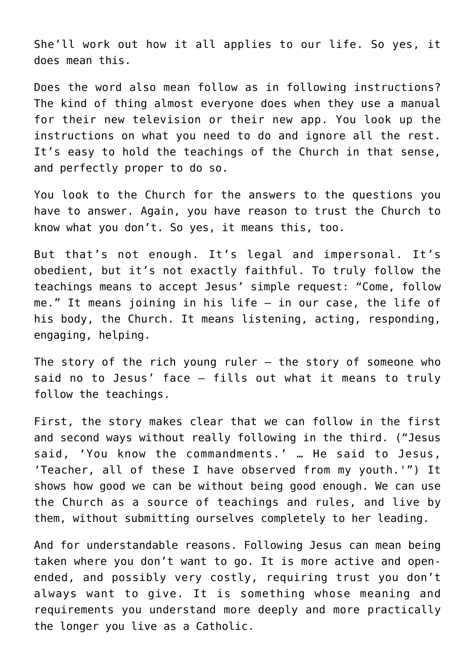She'll work out how it all applies to our life. So yes, it does mean this.

Does the word also mean follow as in following instructions? The kind of thing almost everyone does when they use a manual for their new television or their new app. You look up the instructions on what you need to do and ignore all the rest. It's easy to hold the teachings of the Church in that sense, and perfectly proper to do so.

You look to the Church for the answers to the questions you have to answer. Again, you have reason to trust the Church to know what you don't. So yes, it means this, too.

But that's not enough. It's legal and impersonal. It's obedient, but it's not exactly faithful. To truly follow the teachings means to accept Jesus' simple request: "Come, follow me." It means joining in his life — in our case, the life of his body, the Church. It means listening, acting, responding, engaging, helping.

The story of the rich young ruler  $-$  the story of someone who said no to Jesus' face — fills out what it means to truly follow the teachings.

First, the story makes clear that we can follow in the first and second ways without really following in the third. ("Jesus said, 'You know the commandments.' … He said to Jesus, 'Teacher, all of these I have observed from my youth.'") It shows how good we can be without being good enough. We can use the Church as a source of teachings and rules, and live by them, without submitting ourselves completely to her leading.

And for understandable reasons. Following Jesus can mean being taken where you don't want to go. It is more active and openended, and possibly very costly, requiring trust you don't always want to give. It is something whose meaning and requirements you understand more deeply and more practically the longer you live as a Catholic.